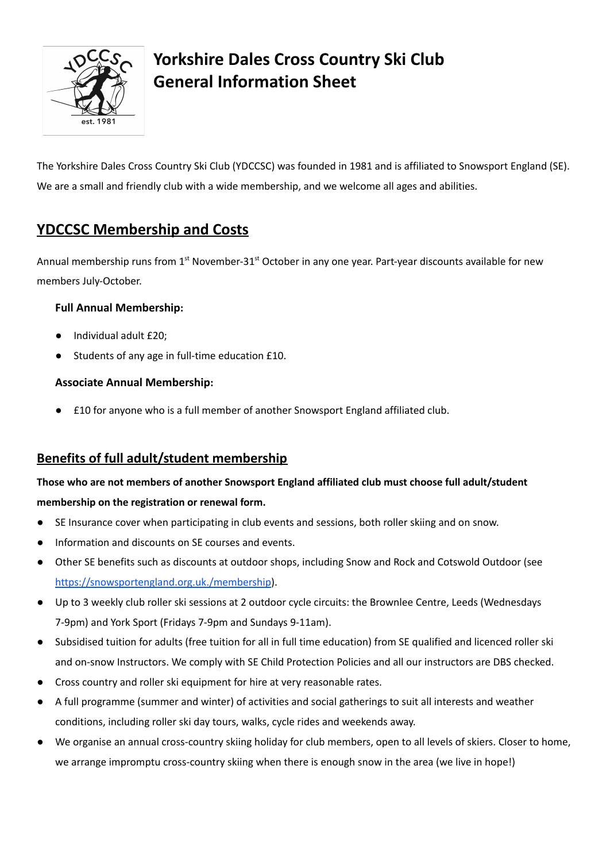

# **Yorkshire Dales Cross Country Ski Club General Information Sheet**

The Yorkshire Dales Cross Country Ski Club (YDCCSC) was founded in 1981 and is affiliated to Snowsport England (SE). We are a small and friendly club with a wide membership, and we welcome all ages and abilities.

# **YDCCSC Membership and Costs**

Annual membership runs from 1<sup>st</sup> November-31<sup>st</sup> October in any one year. Part-year discounts available for new members July-October.

### **Full Annual Membership:**

- Individual adult £20;
- Students of any age in full-time education £10.

### **Associate Annual Membership:**

● £10 for anyone who is a full member of another Snowsport England affiliated club.

## **Benefits of full adult/student membership**

# **Those who are not members of another Snowsport England affiliated club must choose full adult/student**

#### **membership on the registration or renewal form.**

- SE Insurance cover when participating in club events and sessions, both roller skiing and on snow.
- Information and discounts on SE courses and events.
- Other SE benefits such as discounts at outdoor shops, including Snow and Rock and Cotswold Outdoor (see <https://snowsportengland.org.uk./membership>).
- Up to 3 weekly club roller ski sessions at 2 outdoor cycle circuits: the Brownlee Centre, Leeds (Wednesdays 7-9pm) and York Sport (Fridays 7-9pm and Sundays 9-11am).
- Subsidised tuition for adults (free tuition for all in full time education) from SE qualified and licenced roller ski and on-snow Instructors. We comply with SE Child Protection Policies and all our instructors are DBS checked.
- Cross country and roller ski equipment for hire at very reasonable rates.
- A full programme (summer and winter) of activities and social gatherings to suit all interests and weather conditions, including roller ski day tours, walks, cycle rides and weekends away.
- We organise an annual cross-country skiing holiday for club members, open to all levels of skiers. Closer to home, we arrange impromptu cross-country skiing when there is enough snow in the area (we live in hope!)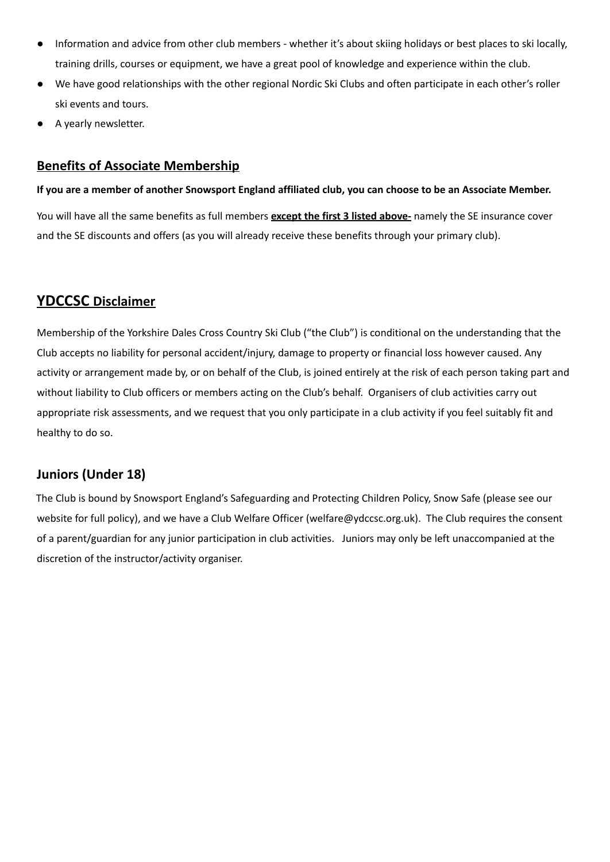- Information and advice from other club members whether it's about skiing holidays or best places to ski locally, training drills, courses or equipment, we have a great pool of knowledge and experience within the club.
- We have good relationships with the other regional Nordic Ski Clubs and often participate in each other's roller ski events and tours.
- A yearly newsletter.

### **Benefits of Associate Membership**

#### If you are a member of another Snowsport England affiliated club, you can choose to be an Associate Member.

You will have all the same benefits as full members **except the first 3 listed above-** namely the SE insurance cover and the SE discounts and offers (as you will already receive these benefits through your primary club).

## **YDCCSC Disclaimer**

Membership of the Yorkshire Dales Cross Country Ski Club ("the Club") is conditional on the understanding that the Club accepts no liability for personal accident/injury, damage to property or financial loss however caused. Any activity or arrangement made by, or on behalf of the Club, is joined entirely at the risk of each person taking part and without liability to Club officers or members acting on the Club's behalf. Organisers of club activities carry out appropriate risk assessments, and we request that you only participate in a club activity if you feel suitably fit and healthy to do so.

## **Juniors (Under 18)**

The Club is bound by Snowsport England's Safeguarding and Protecting Children Policy, Snow Safe (please see our website for full policy), and we have a Club Welfare Officer (welfare@ydccsc.org.uk). The Club requires the consent of a parent/guardian for any junior participation in club activities. Juniors may only be left unaccompanied at the discretion of the instructor/activity organiser.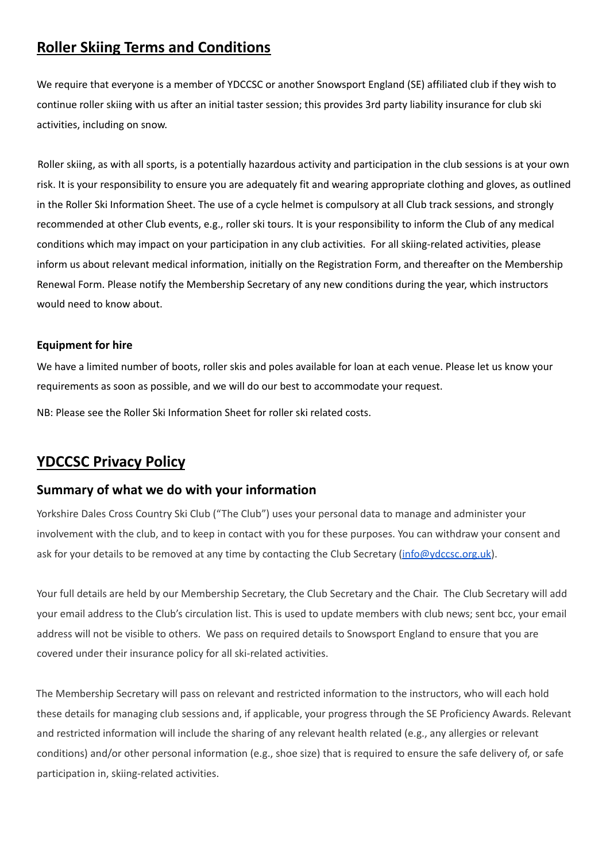## **Roller Skiing Terms and Conditions**

We require that everyone is a member of YDCCSC or another Snowsport England (SE) affiliated club if they wish to continue roller skiing with us after an initial taster session; this provides 3rd party liability insurance for club ski activities, including on snow.

Roller skiing, as with all sports, is a potentially hazardous activity and participation in the club sessions is at your own risk. It is your responsibility to ensure you are adequately fit and wearing appropriate clothing and gloves, as outlined in the Roller Ski Information Sheet. The use of a cycle helmet is compulsory at all Club track sessions, and strongly recommended at other Club events, e.g., roller ski tours. It is your responsibility to inform the Club of any medical conditions which may impact on your participation in any club activities. For all skiing-related activities, please inform us about relevant medical information, initially on the Registration Form, and thereafter on the Membership Renewal Form. Please notify the Membership Secretary of any new conditions during the year, which instructors would need to know about.

#### **Equipment for hire**

We have a limited number of boots, roller skis and poles available for loan at each venue. Please let us know your requirements as soon as possible, and we will do our best to accommodate your request.

NB: Please see the Roller Ski Information Sheet for roller ski related costs.

## **YDCCSC Privacy Policy**

#### **Summary of what we do with your information**

Yorkshire Dales Cross Country Ski Club ("The Club") uses your personal data to manage and administer your involvement with the club, and to keep in contact with you for these purposes. You can withdraw your consent and ask for your details to be removed at any time by contacting the Club Secretary [\(info@ydccsc.org.uk\)](mailto:info@ydccsc.org.uk).

Your full details are held by our Membership Secretary, the Club Secretary and the Chair. The Club Secretary will add your email address to the Club's circulation list. This is used to update members with club news; sent bcc, your email address will not be visible to others. We pass on required details to Snowsport England to ensure that you are covered under their insurance policy for all ski-related activities.

The Membership Secretary will pass on relevant and restricted information to the instructors, who will each hold these details for managing club sessions and, if applicable, your progress through the SE Proficiency Awards. Relevant and restricted information will include the sharing of any relevant health related (e.g., any allergies or relevant conditions) and/or other personal information (e.g., shoe size) that is required to ensure the safe delivery of, or safe participation in, skiing-related activities.